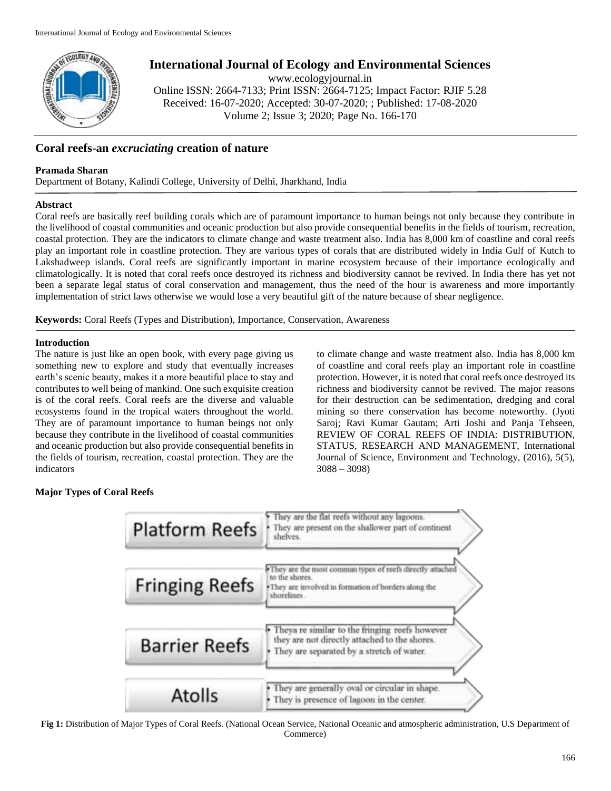

# **International Journal of Ecology and Environmental Sciences**

www.ecologyjournal.in

Online ISSN: 2664-7133; Print ISSN: 2664-7125; Impact Factor: RJIF 5.28 Received: 16-07-2020; Accepted: 30-07-2020; ; Published: 17-08-2020 Volume 2; Issue 3; 2020; Page No. 166-170

# **Coral reefs-an** *excruciating* **creation of nature**

### **Pramada Sharan**

Department of Botany, Kalindi College, University of Delhi, Jharkhand, India

### **Abstract**

Coral reefs are basically reef building corals which are of paramount importance to human beings not only because they contribute in the livelihood of coastal communities and oceanic production but also provide consequential benefits in the fields of tourism, recreation, coastal protection. They are the indicators to climate change and waste treatment also. India has 8,000 km of coastline and coral reefs play an important role in coastline protection. They are various types of corals that are distributed widely in India Gulf of Kutch to Lakshadweep islands. Coral reefs are significantly important in marine ecosystem because of their importance ecologically and climatologically. It is noted that coral reefs once destroyed its richness and biodiversity cannot be revived. In India there has yet not been a separate legal status of coral conservation and management, thus the need of the hour is awareness and more importantly implementation of strict laws otherwise we would lose a very beautiful gift of the nature because of shear negligence.

**Keywords:** Coral Reefs (Types and Distribution), Importance, Conservation, Awareness

## **Introduction**

The nature is just like an open book, with every page giving us something new to explore and study that eventually increases earth's scenic beauty, makes it a more beautiful place to stay and contributes to well being of mankind. One such exquisite creation is of the coral reefs. Coral reefs are the diverse and valuable ecosystems found in the tropical waters throughout the world. They are of paramount importance to human beings not only because they contribute in the livelihood of coastal communities and oceanic production but also provide consequential benefits in the fields of tourism, recreation, coastal protection. They are the indicators

to climate change and waste treatment also. India has 8,000 km of coastline and coral reefs play an important role in coastline protection. However, it is noted that coral reefs once destroyed its richness and biodiversity cannot be revived. The major reasons for their destruction can be sedimentation, dredging and coral mining so there conservation has become noteworthy. (Jyoti Saroj; Ravi Kumar Gautam; Arti Joshi and Panja Tehseen, REVIEW OF CORAL REEFS OF INDIA: DISTRIBUTION, STATUS, RESEARCH AND MANAGEMENT, International Journal of Science, Environment and Technology, (2016), 5(5), 3088 – 3098)

# **Major Types of Coral Reefs**



**Fig 1:** Distribution of Major Types of Coral Reefs. (National Ocean Service, National Oceanic and atmospheric administration, U.S Department of Commerce)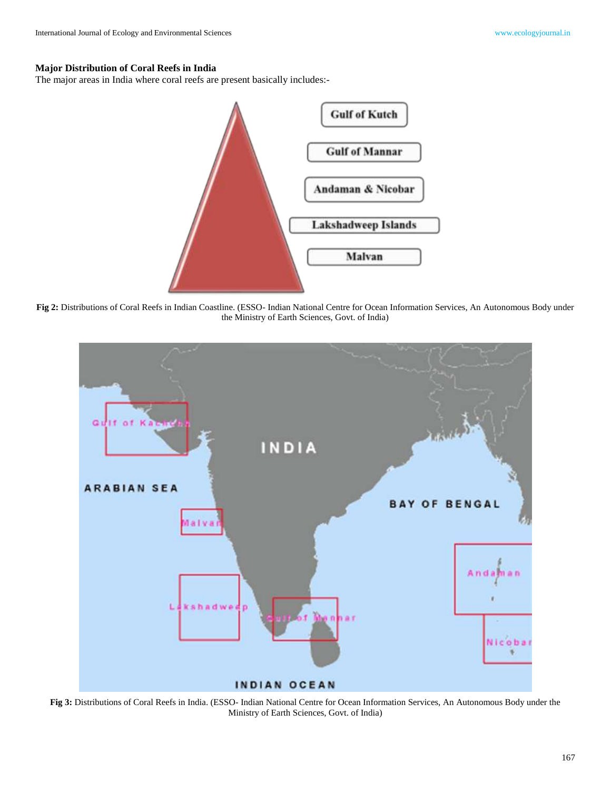# **Major Distribution of Coral Reefs in India**

The major areas in India where coral reefs are present basically includes:-



**Fig 2:** Distributions of Coral Reefs in Indian Coastline. (ESSO- Indian National Centre for Ocean Information Services, An Autonomous Body under the Ministry of Earth Sciences, Govt. of India)



**Fig 3:** Distributions of Coral Reefs in India. (ESSO- Indian National Centre for Ocean Information Services, An Autonomous Body under the Ministry of Earth Sciences, Govt. of India)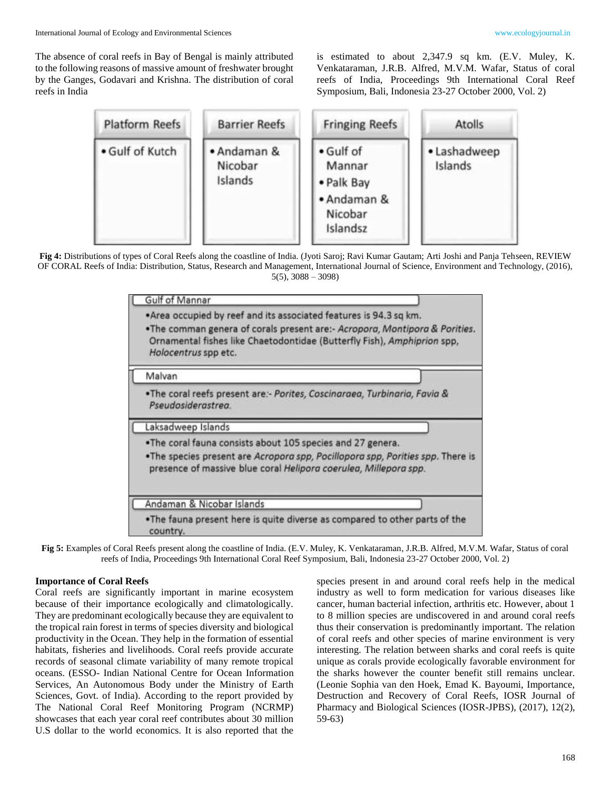The absence of coral reefs in Bay of Bengal is mainly attributed to the following reasons of massive amount of freshwater brought by the Ganges, Godavari and Krishna. The distribution of coral reefs in India

is estimated to about 2,347.9 sq km. (E.V. Muley, K. Venkataraman, J.R.B. Alfred, M.V.M. Wafar, Status of coral reefs of India, Proceedings 9th International Coral Reef Symposium, Bali, Indonesia 23-27 October 2000, Vol. 2)

| <b>Platform Reefs</b> | <b>Barrier Reefs</b>              | <b>Fringing Reefs</b>                                                   | <b>Atolls</b>           |
|-----------------------|-----------------------------------|-------------------------------------------------------------------------|-------------------------|
| • Gulf of Kutch       | • Andaman &<br>Nicobar<br>Islands | · Gulf of<br>Mannar<br>• Palk Bay<br>• Andaman &<br>Nicobar<br>Islandsz | · Lashadweep<br>Islands |

**Fig 4:** Distributions of types of Coral Reefs along the coastline of India. (Jyoti Saroj; Ravi Kumar Gautam; Arti Joshi and Panja Tehseen, REVIEW OF CORAL Reefs of India: Distribution, Status, Research and Management, International Journal of Science, Environment and Technology, (2016),  $5(5)$ ,  $3088 - 3098$ 

| Gulf of Mannar                                                                                                                                                                                                                                       |  |  |
|------------------------------------------------------------------------------------------------------------------------------------------------------------------------------------------------------------------------------------------------------|--|--|
| . Area occupied by reef and its associated features is 94.3 sq km.<br>. The comman genera of corals present are:- Acropora, Montipora & Porities.<br>Ornamental fishes like Chaetodontidae (Butterfly Fish), Amphiprion spp,<br>Holocentrus spp etc. |  |  |
| Malvan                                                                                                                                                                                                                                               |  |  |
| .The coral reefs present are:- Porites, Coscinaraea, Turbinaria, Favia &<br>Pseudosiderastrea.                                                                                                                                                       |  |  |
| Laksadweep Islands                                                                                                                                                                                                                                   |  |  |
| . The coral fauna consists about 105 species and 27 genera.<br>. The species present are Acropora spp, Pocillopora spp, Porities spp. There is<br>presence of massive blue coral Helipora coerulea, Millepora spp.                                   |  |  |
| Andaman & Nicobar Islands                                                                                                                                                                                                                            |  |  |
| . The fauna present here is quite diverse as compared to other parts of the<br>country.                                                                                                                                                              |  |  |

**Fig 5:** Examples of Coral Reefs present along the coastline of India. (E.V. Muley, K. Venkataraman, J.R.B. Alfred, M.V.M. Wafar, Status of coral reefs of India, Proceedings 9th International Coral Reef Symposium, Bali, Indonesia 23-27 October 2000, Vol. 2)

#### **Importance of Coral Reefs**

Coral reefs are significantly important in marine ecosystem because of their importance ecologically and climatologically. They are predominant ecologically because they are equivalent to the tropical rain forest in terms of species diversity and biological productivity in the Ocean. They help in the formation of essential habitats, fisheries and livelihoods. Coral reefs provide accurate records of seasonal climate variability of many remote tropical oceans. (ESSO- Indian National Centre for Ocean Information Services, An Autonomous Body under the Ministry of Earth Sciences, Govt. of India). According to the report provided by The National Coral Reef Monitoring Program (NCRMP) showcases that each year coral reef contributes about 30 million U.S dollar to the world economics. It is also reported that the

species present in and around coral reefs help in the medical industry as well to form medication for various diseases like cancer, human bacterial infection, arthritis etc. However, about 1 to 8 million species are undiscovered in and around coral reefs thus their conservation is predominantly important. The relation of coral reefs and other species of marine environment is very interesting. The relation between sharks and coral reefs is quite unique as corals provide ecologically favorable environment for the sharks however the counter benefit still remains unclear. (Leonie Sophia van den Hoek, Emad K. Bayoumi, Importance, Destruction and Recovery of Coral Reefs, IOSR Journal of Pharmacy and Biological Sciences (IOSR-JPBS), (2017), 12(2), 59-63)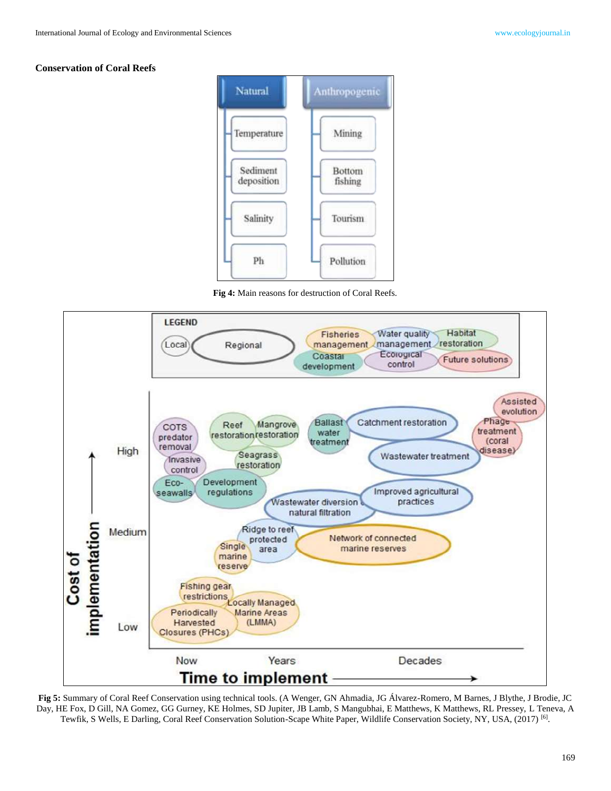#### **Conservation of Coral Reefs**



**Fig 4:** Main reasons for destruction of Coral Reefs.



**Fig 5:** Summary of Coral Reef Conservation using technical tools. (A Wenger, GN Ahmadia, JG Álvarez-Romero, M Barnes, J Blythe, J Brodie, JC Day, HE Fox, D Gill, NA Gomez, GG Gurney, KE Holmes, SD Jupiter, JB Lamb, S Mangubhai, E Matthews, K Matthews, RL Pressey, L Teneva, A Tewfik, S Wells, E Darling, Coral Reef Conservation Solution-Scape White Paper, Wildlife Conservation Society, NY, USA, (2017) [6].